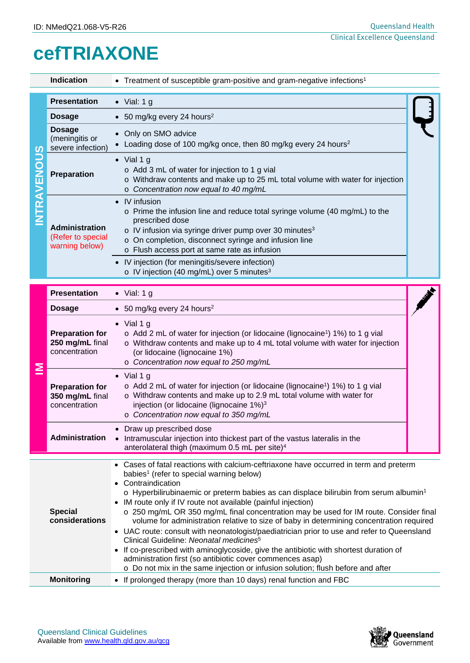# **cefTRIAXONE**

|                    | Indication                                                   | • Treatment of susceptible gram-positive and gram-negative infections <sup>1</sup>                                                                                                                                                                                                                                                                                                                                                                                                                                                                                                                                                                                                        |  |
|--------------------|--------------------------------------------------------------|-------------------------------------------------------------------------------------------------------------------------------------------------------------------------------------------------------------------------------------------------------------------------------------------------------------------------------------------------------------------------------------------------------------------------------------------------------------------------------------------------------------------------------------------------------------------------------------------------------------------------------------------------------------------------------------------|--|
| <b>INTRAVENOUS</b> | <b>Presentation</b>                                          | $\bullet$ Vial: 1 g                                                                                                                                                                                                                                                                                                                                                                                                                                                                                                                                                                                                                                                                       |  |
|                    | <b>Dosage</b>                                                | • 50 mg/kg every 24 hours <sup>2</sup>                                                                                                                                                                                                                                                                                                                                                                                                                                                                                                                                                                                                                                                    |  |
|                    | <b>Dosage</b><br>(meningitis or<br>severe infection)         | • Only on SMO advice<br>• Loading dose of 100 mg/kg once, then 80 mg/kg every 24 hours <sup>2</sup>                                                                                                                                                                                                                                                                                                                                                                                                                                                                                                                                                                                       |  |
|                    | Preparation                                                  | $\bullet$ Vial 1 g<br>o Add 3 mL of water for injection to 1 g vial<br>o Withdraw contents and make up to 25 mL total volume with water for injection<br>o Concentration now equal to 40 mg/mL                                                                                                                                                                                                                                                                                                                                                                                                                                                                                            |  |
|                    | <b>Administration</b><br>(Refer to special<br>warning below) | • IV infusion<br>o Prime the infusion line and reduce total syringe volume (40 mg/mL) to the<br>prescribed dose<br>o IV infusion via syringe driver pump over 30 minutes <sup>3</sup><br>o On completion, disconnect syringe and infusion line<br>o Flush access port at same rate as infusion<br>• IV injection (for meningitis/severe infection)                                                                                                                                                                                                                                                                                                                                        |  |
|                    |                                                              | o IV injection (40 mg/mL) over 5 minutes <sup>3</sup>                                                                                                                                                                                                                                                                                                                                                                                                                                                                                                                                                                                                                                     |  |
|                    |                                                              |                                                                                                                                                                                                                                                                                                                                                                                                                                                                                                                                                                                                                                                                                           |  |
|                    | <b>Presentation</b>                                          | $\bullet$ Vial: 1 g                                                                                                                                                                                                                                                                                                                                                                                                                                                                                                                                                                                                                                                                       |  |
|                    | <b>Dosage</b>                                                | • 50 mg/kg every 24 hours <sup>2</sup>                                                                                                                                                                                                                                                                                                                                                                                                                                                                                                                                                                                                                                                    |  |
|                    | <b>Preparation for</b><br>250 mg/mL final<br>concentration   | $\bullet$ Vial 1 g<br>o Add 2 mL of water for injection (or lidocaine (lignocaine <sup>1</sup> ) 1%) to 1 g vial<br>$\circ$ Withdraw contents and make up to 4 mL total volume with water for injection<br>(or lidocaine (lignocaine 1%)<br>o Concentration now equal to 250 mg/mL                                                                                                                                                                                                                                                                                                                                                                                                        |  |
| ≧                  | <b>Preparation for</b><br>350 mg/mL final<br>concentration   | $\bullet$ Vial 1 g<br>o Add 2 mL of water for injection (or lidocaine (lignocaine <sup>1</sup> ) 1%) to 1 g vial<br>o Withdraw contents and make up to 2.9 mL total volume with water for<br>injection (or lidocaine (lignocaine 1%) <sup>3</sup><br>o Concentration now equal to 350 mg/mL                                                                                                                                                                                                                                                                                                                                                                                               |  |
|                    | <b>Administration</b>                                        | • Draw up prescribed dose<br>• Intramuscular injection into thickest part of the vastus lateralis in the<br>anterolateral thigh (maximum 0.5 mL per site) <sup>4</sup>                                                                                                                                                                                                                                                                                                                                                                                                                                                                                                                    |  |
|                    | <b>Special</b><br>considerations                             | • Cases of fatal reactions with calcium-ceftriaxone have occurred in term and preterm<br>babies <sup>1</sup> (refer to special warning below)<br>• Contraindication<br>$\circ$ Hyperbilirubinaemic or preterm babies as can displace bilirubin from serum albumin <sup>1</sup><br>• IM route only if IV route not available (painful injection)<br>o 250 mg/mL OR 350 mg/mL final concentration may be used for IM route. Consider final<br>volume for administration relative to size of baby in determining concentration required<br>• UAC route: consult with neonatologist/paediatrician prior to use and refer to Queensland<br>Clinical Guideline: Neonatal medicines <sup>5</sup> |  |

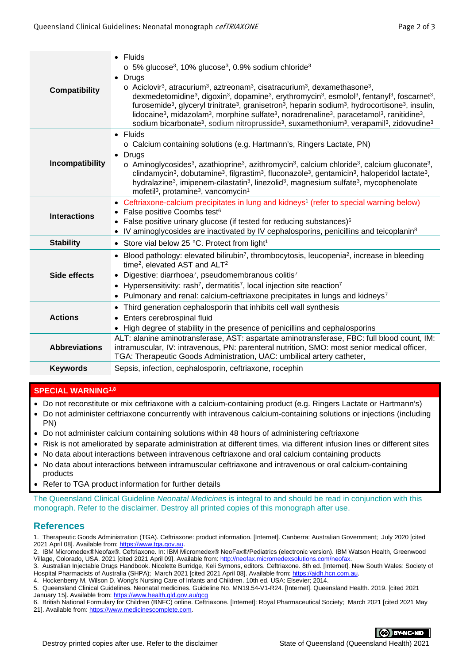| <b>Compatibility</b> | $\bullet$ Fluids<br>$\circ$ 5% glucose <sup>3</sup> , 10% glucose <sup>3</sup> , 0.9% sodium chloride <sup>3</sup><br>Drugs<br>$\bullet$<br>$\circ$ Aciclovir <sup>3</sup> , atracurium <sup>3</sup> , aztreonam <sup>3</sup> , cisatracurium <sup>3</sup> , dexamethasone <sup>3</sup> ,<br>dexmedetomidine <sup>3</sup> , digoxin <sup>3</sup> , dopamine <sup>3</sup> , erythromycin <sup>3</sup> , esmolol <sup>3</sup> , fentanyl <sup>3</sup> , foscarnet <sup>3</sup> ,<br>furosemide <sup>3</sup> , glyceryl trinitrate <sup>3</sup> , granisetron <sup>3</sup> , heparin sodium <sup>3</sup> , hydrocortisone <sup>3</sup> , insulin,<br>lidocaine <sup>3</sup> , midazolam <sup>3</sup> , morphine sulfate <sup>3</sup> , noradrenaline <sup>3</sup> , paracetamol <sup>3</sup> , ranitidine <sup>3</sup> ,<br>sodium bicarbonate <sup>3</sup> , sodium nitroprusside <sup>3</sup> , suxamethonium <sup>3</sup> , verapamil <sup>3</sup> , zidovudine <sup>3</sup> |  |  |  |
|----------------------|------------------------------------------------------------------------------------------------------------------------------------------------------------------------------------------------------------------------------------------------------------------------------------------------------------------------------------------------------------------------------------------------------------------------------------------------------------------------------------------------------------------------------------------------------------------------------------------------------------------------------------------------------------------------------------------------------------------------------------------------------------------------------------------------------------------------------------------------------------------------------------------------------------------------------------------------------------------------------|--|--|--|
| Incompatibility      | • Fluids<br>o Calcium containing solutions (e.g. Hartmann's, Ringers Lactate, PN)<br>• Drugs<br>$\circ$ Aminoglycosides <sup>3</sup> , azathioprine <sup>3</sup> , azithromycin <sup>3</sup> , calcium chloride <sup>3</sup> , calcium gluconate <sup>3</sup> ,<br>clindamycin <sup>3</sup> , dobutamine <sup>3</sup> , filgrastim <sup>3</sup> , fluconazole <sup>3</sup> , gentamicin <sup>3</sup> , haloperidol lactate <sup>3</sup> ,<br>hydralazine <sup>3</sup> , imipenem-cilastatin <sup>3</sup> , linezolid <sup>3</sup> , magnesium sulfate <sup>3</sup> , mycophenolate<br>mofetil <sup>3</sup> , protamine <sup>3</sup> , vancomycin <sup>1</sup>                                                                                                                                                                                                                                                                                                                |  |  |  |
| <b>Interactions</b>  | • Ceftriaxone-calcium precipitates in lung and kidneys <sup>1</sup> (refer to special warning below)<br>• False positive Coombs test <sup>6</sup><br>False positive urinary glucose (if tested for reducing substances) <sup>6</sup><br>IV aminoglycosides are inactivated by IV cephalosporins, penicillins and teicoplanin <sup>8</sup>                                                                                                                                                                                                                                                                                                                                                                                                                                                                                                                                                                                                                                    |  |  |  |
| <b>Stability</b>     | • Store vial below 25 °C. Protect from light <sup>1</sup>                                                                                                                                                                                                                                                                                                                                                                                                                                                                                                                                                                                                                                                                                                                                                                                                                                                                                                                    |  |  |  |
| Side effects         | • Blood pathology: elevated bilirubin <sup>7</sup> , thrombocytosis, leucopenia <sup>2</sup> , increase in bleeding<br>time <sup>2</sup> , elevated AST and ALT <sup>2</sup><br>Digestive: diarrhoea <sup>7</sup> , pseudomembranous colitis <sup>7</sup><br>$\bullet$<br>• Hypersensitivity: rash <sup>7</sup> , dermatitis <sup>7</sup> , local injection site reaction <sup>7</sup><br>• Pulmonary and renal: calcium-ceftriaxone precipitates in lungs and kidneys <sup>7</sup>                                                                                                                                                                                                                                                                                                                                                                                                                                                                                          |  |  |  |
| <b>Actions</b>       | • Third generation cephalosporin that inhibits cell wall synthesis<br>Enters cerebrospinal fluid<br>• High degree of stability in the presence of penicillins and cephalosporins                                                                                                                                                                                                                                                                                                                                                                                                                                                                                                                                                                                                                                                                                                                                                                                             |  |  |  |
| <b>Abbreviations</b> | ALT: alanine aminotransferase, AST: aspartate aminotransferase, FBC: full blood count, IM:<br>intramuscular, IV: intravenous, PN: parenteral nutrition, SMO: most senior medical officer,<br>TGA: Therapeutic Goods Administration, UAC: umbilical artery catheter,                                                                                                                                                                                                                                                                                                                                                                                                                                                                                                                                                                                                                                                                                                          |  |  |  |
| <b>Keywords</b>      | Sepsis, infection, cephalosporin, ceftriaxone, rocephin                                                                                                                                                                                                                                                                                                                                                                                                                                                                                                                                                                                                                                                                                                                                                                                                                                                                                                                      |  |  |  |

### **SPECIAL WARNING1,8**

- Do not reconstitute or mix ceftriaxone with a calcium-containing product (e.g. Ringers Lactate or Hartmann's)
- Do not administer ceftriaxone concurrently with intravenous calcium-containing solutions or injections (including PN)
- Do not administer calcium containing solutions within 48 hours of administering ceftriaxone
- Risk is not ameliorated by separate administration at different times, via different infusion lines or different sites
- No data about interactions between intravenous ceftriaxone and oral calcium containing products
- No data about interactions between intramuscular ceftriaxone and intravenous or oral calcium-containing products
- Refer to TGA product information for further details

The Queensland Clinical Guideline *Neonatal Medicines* is integral to and should be read in conjunction with this monograph. Refer to the disclaimer. Destroy all printed copies of this monograph after use.

#### **References**

1. Therapeutic Goods Administration (TGA). Ceftriaxone: product information. [Internet]. Canberra: Australian Government; July 2020 [cited 2021 April 08]. Available from[: https://www.tga.gov.au.](https://www.tga.gov.au/)

<sup>6.</sup> British National Formulary for Children (BNFC) online. Ceftriaxone. [Internet]: Royal Pharmaceutical Society; March 2021 [cited 2021 May 21]. Available from[: https://www.medicinescomplete.com.](https://www.medicinescomplete.com/)



<sup>2.</sup> IBM Micromedex®Neofax®. Ceftriaxone. In: IBM Micromedex® NeoFax®/Pediatrics (electronic version). IBM Watson Health, Greenwood Village, Colorado, USA. 2021 [cited 2021 April 09]. Available from[: http://neofax.micromedexsolutions.com/neofax.](http://neofax.micromedexsolutions.com/neofax)

<sup>3.</sup> Australian Injectable Drugs Handbook. Nicolette Burridge, Keli Symons, editors. Ceftriaxone. 8th ed. [Internet]. New South Wales: Society of Hospital Pharmacists of Australia (SHPA); March 2021 [cited 2021 April 08]. Available from: https://aidh.hcr

<sup>4.</sup> Hockenberry M, Wilson D. Wong's Nursing Care of Infants and Children. 10th ed. USA: Elsevier; 2014.

<sup>5.</sup> Queensland Clinical Guidelines. Neonatal medicines. Guideline No. MN19.54-V1-R24. [Internet]. Queensland Health. 2019. [cited 2021 January 15]. Available from:<https://www.health.qld.gov.au/qcg>